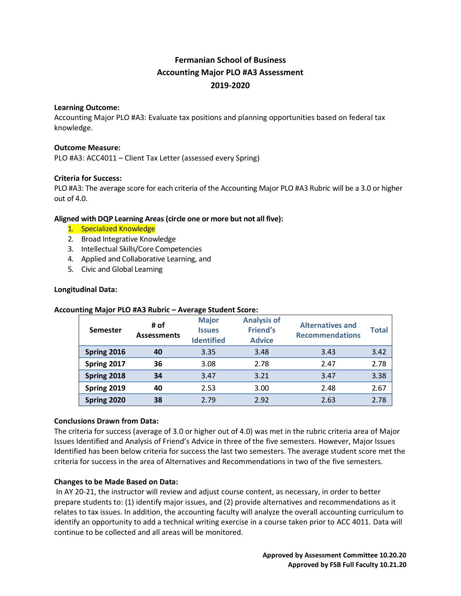# **Fermanian School of Business Accounting Major PLO #A3 Assessment 2019-2020**

#### **Learning Outcome:**

Accounting Major PLO #A3: Evaluate tax positions and planning opportunities based on federal tax knowledge.

#### **Outcome Measure:**

PLO #A3: ACC4011 – Client Tax Letter (assessed every Spring)

## **Criteria for Success:**

PLO #A3: The average score for each criteria of the Accounting Major PLO #A3 Rubric will be a 3.0 or higher out of 4.0.

## **Aligned with DQP Learning Areas (circle one or more but not all five):**

- 1. Specialized Knowledge
- 2. Broad Integrative Knowledge
- 3. Intellectual Skills/Core Competencies
- 4. Applied and Collaborative Learning, and
- 5. Civic and Global Learning

#### **Longitudinal Data:**

#### **Accounting Major PLO #A3 Rubric – Average Student Score:**

| -               |                            | -                                                  |                                                        |                                                   |              |
|-----------------|----------------------------|----------------------------------------------------|--------------------------------------------------------|---------------------------------------------------|--------------|
| <b>Semester</b> | # of<br><b>Assessments</b> | <b>Major</b><br><b>Issues</b><br><b>Identified</b> | <b>Analysis of</b><br><b>Friend's</b><br><b>Advice</b> | <b>Alternatives and</b><br><b>Recommendations</b> | <b>Total</b> |
| Spring 2016     | 40                         | 3.35                                               | 3.48                                                   | 3.43                                              | 3.42         |
| Spring 2017     | 36                         | 3.08                                               | 2.78                                                   | 2.47                                              | 2.78         |
| Spring 2018     | 34                         | 3.47                                               | 3.21                                                   | 3.47                                              | 3.38         |
| Spring 2019     | 40                         | 2.53                                               | 3.00                                                   | 2.48                                              | 2.67         |
| Spring 2020     | 38                         | 2.79                                               | 2.92                                                   | 2.63                                              | 2.78         |

#### **Conclusions Drawn from Data:**

The criteria for success (average of 3.0 or higher out of 4.0) was met in the rubric criteria area of Major Issues Identified and Analysis of Friend's Advice in three of the five semesters. However, Major Issues Identified has been below criteria for success the last two semesters. The average student score met the criteria for success in the area of Alternatives and Recommendations in two of the five semesters.

#### **Changes to be Made Based on Data:**

In AY 20-21, the instructor will review and adjust course content, as necessary, in order to better prepare students to: (1) identify major issues, and (2) provide alternatives and recommendations as it relates to tax issues. In addition, the accounting faculty will analyze the overall accounting curriculum to identify an opportunity to add a technical writing exercise in a course taken prior to ACC 4011. Data will continue to be collected and all areas will be monitored.